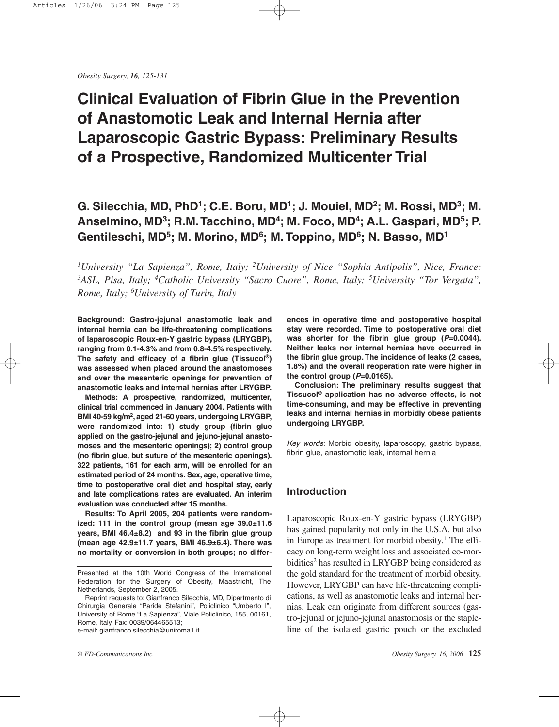Obesity Surgery, 16, 125-131

# **Clinical Evaluation of Fibrin Glue in the Prevention** of Anastomotic Leak and Internal Hernia after **Laparoscopic Gastric Bypass: Preliminary Results** of a Prospective, Randomized Multicenter Trial

## G. Silecchia, MD, PhD<sup>1</sup>; C.E. Boru, MD<sup>1</sup>; J. Mouiel, MD<sup>2</sup>; M. Rossi, MD<sup>3</sup>; M. Anselmino, MD<sup>3</sup>; R.M. Tacchino, MD<sup>4</sup>; M. Foco, MD<sup>4</sup>; A.L. Gaspari, MD<sup>5</sup>; P. Gentileschi, MD<sup>5</sup>; M. Morino, MD<sup>6</sup>; M. Toppino, MD<sup>6</sup>; N. Basso, MD<sup>1</sup>

<sup>1</sup>University "La Sapienza", Rome, Italy; <sup>2</sup>University of Nice "Sophia Antipolis", Nice, France; <sup>3</sup>ASL, Pisa, Italy; <sup>4</sup>Catholic University "Sacro Cuore", Rome, Italy; <sup>5</sup>University "Tor Vergata", Rome, Italy; <sup>6</sup>University of Turin, Italy

Background: Gastro-jejunal anastomotic leak and internal hernia can be life-threatening complications of laparoscopic Roux-en-Y gastric bypass (LRYGBP), ranging from 0.1-4.3% and from 0.8-4.5% respectively. The safety and efficacy of a fibrin glue (Tissucol®) was assessed when placed around the anastomoses and over the mesenteric openings for prevention of anastomotic leaks and internal hernias after LRYGBP.

Methods: A prospective, randomized, multicenter, clinical trial commenced in January 2004. Patients with BMI 40-59 kg/m<sup>2</sup>, aged 21-60 years, undergoing LRYGBP, were randomized into: 1) study group (fibrin glue applied on the gastro-jejunal and jejuno-jejunal anastomoses and the mesenteric openings); 2) control group (no fibrin glue, but suture of the mesenteric openings). 322 patients, 161 for each arm, will be enrolled for an estimated period of 24 months. Sex, age, operative time, time to postoperative oral diet and hospital stay, early and late complications rates are evaluated. An interim evaluation was conducted after 15 months.

Results: To April 2005, 204 patients were randomized: 111 in the control group (mean age 39.0±11.6 years, BMI 46.4±8.2) and 93 in the fibrin glue group (mean age  $42.9 \pm 11.7$  years, BMI  $46.9 \pm 6.4$ ). There was no mortality or conversion in both groups; no differ-

 $© FD-Communications Inc.$ 

ences in operative time and postoperative hospital stay were recorded. Time to postoperative oral diet was shorter for the fibrin glue group  $(P=0.0044)$ . Neither leaks nor internal hernias have occurred in the fibrin glue group. The incidence of leaks (2 cases, 1.8%) and the overall reoperation rate were higher in the control group  $(P=0.0165)$ .

Conclusion: The preliminary results suggest that Tissucol<sup>®</sup> application has no adverse effects, is not time-consuming, and may be effective in preventing leaks and internal hernias in morbidly obese patients undergoing LRYGBP.

Key words: Morbid obesity, laparoscopy, gastric bypass, fibrin glue, anastomotic leak, internal hernia

## **Introduction**

Laparoscopic Roux-en-Y gastric bypass (LRYGBP) has gained popularity not only in the U.S.A. but also in Europe as treatment for morbid obesity.<sup>1</sup> The efficacy on long-term weight loss and associated co-morbidities<sup>2</sup> has resulted in LRYGBP being considered as the gold standard for the treatment of morbid obesity. However, LRYGBP can have life-threatening complications, as well as anastomotic leaks and internal hernias. Leak can originate from different sources (gastro-jejunal or jejuno-jejunal anastomosis or the stapleline of the isolated gastric pouch or the excluded

Presented at the 10th World Congress of the International Federation for the Surgery of Obesity, Maastricht, The Netherlands, September 2, 2005.

Reprint requests to: Gianfranco Silecchia, MD, Dipartmento di Chirurgia Generale "Paride Stefanini", Policlinico "Umberto I", University of Rome "La Sapienza", Viale Policlinico, 155, 00161, Rome, Italy. Fax: 0039/064465513; e-mail: gianfranco.silecchia@uniroma1.it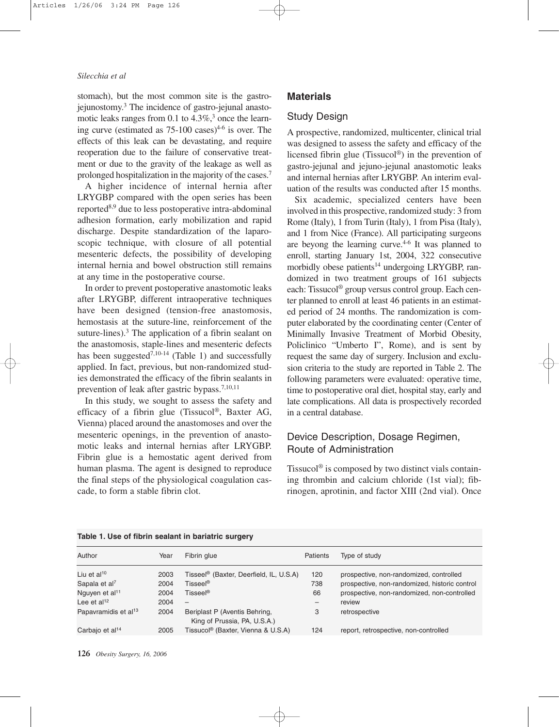#### Silecchia et al

stomach), but the most common site is the gastrojejunostomy.<sup>3</sup> The incidence of gastro-jejunal anastomotic leaks ranges from 0.1 to  $4.3\%$ ,<sup>3</sup> once the learning curve (estimated as  $75{\text -}100$  cases)<sup>4-6</sup> is over. The effects of this leak can be devastating, and require reoperation due to the failure of conservative treatment or due to the gravity of the leakage as well as prolonged hospitalization in the majority of the cases.<sup>7</sup>

A higher incidence of internal hernia after LRYGBP compared with the open series has been reported<sup>8,9</sup> due to less postoperative intra-abdominal adhesion formation, early mobilization and rapid discharge. Despite standardization of the laparoscopic technique, with closure of all potential mesenteric defects, the possibility of developing internal hernia and bowel obstruction still remains at any time in the postoperative course.

In order to prevent postoperative anastomotic leaks after LRYGBP, different intraoperative techniques have been designed (tension-free anastomosis, hemostasis at the suture-line, reinforcement of the suture-lines).<sup>3</sup> The application of a fibrin sealant on the anastomosis, staple-lines and mesenteric defects has been suggested<sup>7,10-14</sup> (Table 1) and successfully applied. In fact, previous, but non-randomized studies demonstrated the efficacy of the fibrin sealants in prevention of leak after gastric bypass.<sup>7,10,11</sup>

In this study, we sought to assess the safety and efficacy of a fibrin glue (Tissucol®, Baxter AG, Vienna) placed around the anastomoses and over the mesenteric openings, in the prevention of anastomotic leaks and internal hernias after LRYGBP. Fibrin glue is a hemostatic agent derived from human plasma. The agent is designed to reproduce the final steps of the physiological coagulation cascade, to form a stable fibrin clot.

#### **Materials**

## **Study Design**

A prospective, randomized, multicenter, clinical trial was designed to assess the safety and efficacy of the licensed fibrin glue (Tissucol<sup>®</sup>) in the prevention of gastro-jejunal and jejuno-jejunal anastomotic leaks and internal hernias after LRYGBP. An interim evaluation of the results was conducted after 15 months.

Six academic, specialized centers have been involved in this prospective, randomized study: 3 from Rome (Italy), 1 from Turin (Italy), 1 from Pisa (Italy), and 1 from Nice (France). All participating surgeons are beyong the learning curve.<sup>4-6</sup> It was planned to enroll, starting January 1st, 2004, 322 consecutive morbidly obese patients<sup>14</sup> undergoing LRYGBP, randomized in two treatment groups of 161 subjects each: Tissucol<sup>®</sup> group versus control group. Each center planned to enroll at least 46 patients in an estimated period of 24 months. The randomization is computer elaborated by the coordinating center (Center of Minimally Invasive Treatment of Morbid Obesity, Policlinico "Umberto I", Rome), and is sent by request the same day of surgery. Inclusion and exclusion criteria to the study are reported in Table 2. The following parameters were evaluated: operative time, time to postoperative oral diet, hospital stay, early and late complications. All data is prospectively recorded in a central database.

## Device Description, Dosage Regimen, Route of Administration

Tissucol<sup>®</sup> is composed by two distinct vials containing thrombin and calcium chloride (1st vial); fibrinogen, aprotinin, and factor XIII (2nd vial). Once

|                                  |      | <u>rapic 1. OSC OF HDHII SCARHEIE III DAHAH IV SAFACI V</u>   |                 |                                               |
|----------------------------------|------|---------------------------------------------------------------|-----------------|-----------------------------------------------|
| Author                           | Year | Fibrin glue                                                   | <b>Patients</b> | Type of study                                 |
| Liu et al <sup>10</sup>          | 2003 | Tisseel® (Baxter, Deerfield, IL, U.S.A)                       | 120             | prospective, non-randomized, controlled       |
| Sapala et al <sup>7</sup>        | 2004 | Tisseel <sup>®</sup>                                          | 738             | prospective, non-randomized, historic control |
| Nguyen et al <sup>11</sup>       | 2004 | Tisseel®                                                      | 66              | prospective, non-randomized, non-controlled   |
| Lee et al <sup>12</sup>          | 2004 | $\overline{\phantom{m}}$                                      | -               | review                                        |
| Papavramidis et al <sup>13</sup> | 2004 | Beriplast P (Aventis Behring,<br>King of Prussia, PA, U.S.A.) | 3               | retrospective                                 |
| Carbajo et al <sup>14</sup>      | 2005 | Tissucol® (Baxter, Vienna & U.S.A)                            | 124             | report, retrospective, non-controlled         |

#### Table 1 I lee of fibrin eaglant in hariatric surnery

126 Obesity Surgery, 16, 2006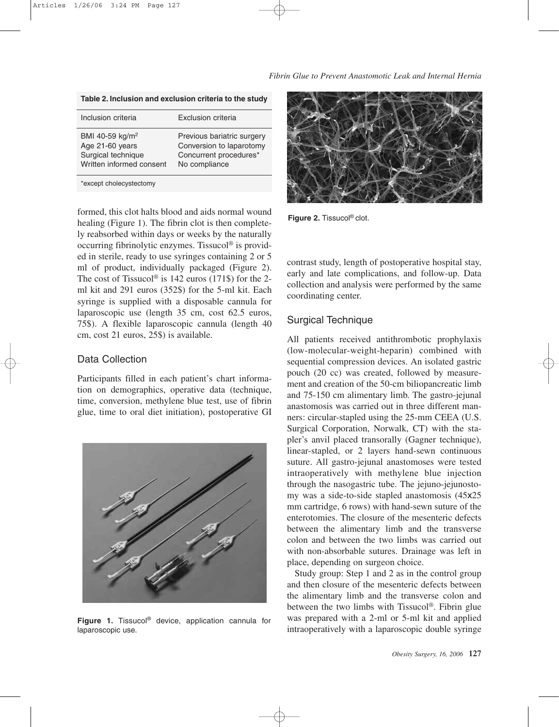Fibrin Glue to Prevent Anastomotic Leak and Internal Hernia

|                                                                                                  | Table 2. Inclusion and exclusion criteria to the study                                            |
|--------------------------------------------------------------------------------------------------|---------------------------------------------------------------------------------------------------|
| Inclusion criteria                                                                               | <b>Exclusion criteria</b>                                                                         |
| BMI 40-59 kg/m <sup>2</sup><br>Age 21-60 years<br>Surgical technique<br>Written informed consent | Previous bariatric surgery<br>Conversion to laparotomy<br>Concurrent procedures*<br>No compliance |
|                                                                                                  |                                                                                                   |

\*except cholecystectomy

formed, this clot halts blood and aids normal wound healing (Figure 1). The fibrin clot is then completely reabsorbed within days or weeks by the naturally occurring fibrinolytic enzymes. Tissucol<sup>®</sup> is provided in sterile, ready to use syringes containing 2 or 5 ml of product, individually packaged (Figure 2). The cost of Tissucol<sup>®</sup> is 142 euros (171\$) for the 2ml kit and 291 euros (352\$) for the 5-ml kit. Each syringe is supplied with a disposable cannula for laparoscopic use (length 35 cm, cost 62.5 euros, 75\$). A flexible laparoscopic cannula (length 40 cm, cost 21 euros, 25\$) is available.

## **Data Collection**

Participants filled in each patient's chart information on demographics, operative data (technique, time, conversion, methylene blue test, use of fibrin glue, time to oral diet initiation), postoperative GI



Figure 1. Tissucol® device, application cannula for laparoscopic use.



Figure 2. Tissucol® clot.

contrast study, length of postoperative hospital stay, early and late complications, and follow-up. Data collection and analysis were performed by the same coordinating center.

## **Surgical Technique**

All patients received antithrombotic prophylaxis (low-molecular-weight-heparin) combined with sequential compression devices. An isolated gastric pouch (20 cc) was created, followed by measurement and creation of the 50-cm biliopancreatic limb and 75-150 cm alimentary limb. The gastro-jejunal anastomosis was carried out in three different manners: circular-stapled using the 25-mm CEEA (U.S. Surgical Corporation, Norwalk, CT) with the stapler's anvil placed transorally (Gagner technique), linear-stapled, or 2 layers hand-sewn continuous suture. All gastro-jejunal anastomoses were tested intraoperatively with methylene blue injection through the nasogastric tube. The jejuno-jejunostomy was a side-to-side stapled anastomosis (45x25) mm cartridge, 6 rows) with hand-sewn suture of the enterotomies. The closure of the mesenteric defects between the alimentary limb and the transverse colon and between the two limbs was carried out with non-absorbable sutures. Drainage was left in place, depending on surgeon choice.

Study group: Step 1 and 2 as in the control group and then closure of the mesenteric defects between the alimentary limb and the transverse colon and between the two limbs with Tissucol<sup>®</sup>. Fibrin glue was prepared with a 2-ml or 5-ml kit and applied intraoperatively with a laparoscopic double syringe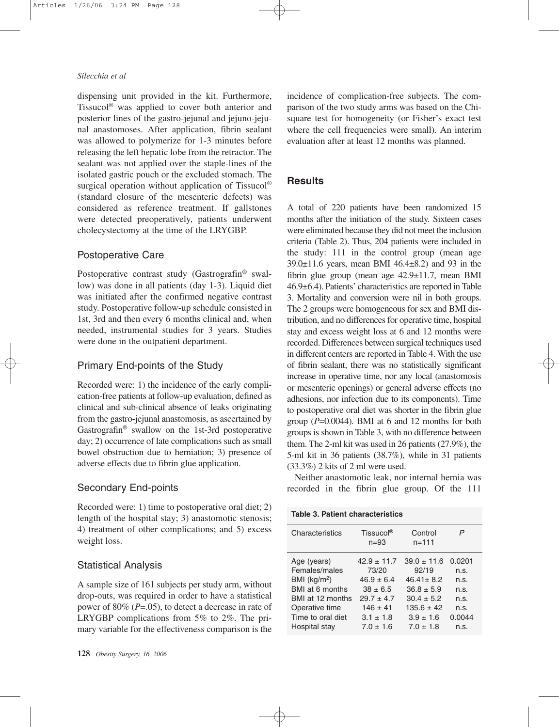#### Silecchia et al

dispensing unit provided in the kit. Furthermore, Tissucol® was applied to cover both anterior and posterior lines of the gastro-jejunal and jejuno-jejunal anastomoses. After application, fibrin sealant was allowed to polymerize for 1-3 minutes before releasing the left hepatic lobe from the retractor. The sealant was not applied over the staple-lines of the isolated gastric pouch or the excluded stomach. The surgical operation without application of Tissucol® (standard closure of the mesenteric defects) was considered as reference treatment. If gallstones were detected preoperatively, patients underwent cholecystectomy at the time of the LRYGBP.

## Postoperative Care

Postoperative contrast study (Gastrografin® swallow) was done in all patients (day 1-3). Liquid diet was initiated after the confirmed negative contrast study. Postoperative follow-up schedule consisted in 1st, 3rd and then every 6 months clinical and, when needed, instrumental studies for 3 years. Studies were done in the outpatient department.

#### Primary End-points of the Study

Recorded were: 1) the incidence of the early complication-free patients at follow-up evaluation, defined as clinical and sub-clinical absence of leaks originating from the gastro-jejunal anastomosis, as ascertained by Gastrografin® swallow on the 1st-3rd postoperative day; 2) occurrence of late complications such as small bowel obstruction due to herniation; 3) presence of adverse effects due to fibrin glue application.

## **Secondary End-points**

Recorded were: 1) time to postoperative oral diet; 2) length of the hospital stay; 3) anastomotic stenosis; 4) treatment of other complications; and 5) excess weight loss.

### **Statistical Analysis**

A sample size of 161 subjects per study arm, without drop-outs, was required in order to have a statistical power of 80% ( $P=.05$ ), to detect a decrease in rate of LRYGBP complications from 5% to 2%. The primary variable for the effectiveness comparison is the

incidence of complication-free subjects. The comparison of the two study arms was based on the Chisquare test for homogeneity (or Fisher's exact test where the cell frequencies were small). An interim evaluation after at least 12 months was planned.

## **Results**

A total of 220 patients have been randomized 15 months after the initiation of the study. Sixteen cases were eliminated because they did not meet the inclusion criteria (Table 2). Thus, 204 patients were included in the study: 111 in the control group (mean age  $39.0 \pm 11.6$  years, mean BMI 46.4 $\pm$ 8.2) and 93 in the fibrin glue group (mean age  $42.9 \pm 11.7$ , mean BMI 46.9±6.4). Patients' characteristics are reported in Table 3. Mortality and conversion were nil in both groups. The 2 groups were homogeneous for sex and BMI distribution, and no differences for operative time, hospital stay and excess weight loss at 6 and 12 months were recorded. Differences between surgical techniques used in different centers are reported in Table 4. With the use of fibrin sealant, there was no statistically significant increase in operative time, nor any local (anastomosis or mesenteric openings) or general adverse effects (no adhesions, nor infection due to its components). Time to postoperative oral diet was shorter in the fibrin glue group  $(P=0.0044)$ . BMI at 6 and 12 months for both groups is shown in Table 3, with no difference between them. The 2-ml kit was used in 26 patients  $(27.9\%)$ , the 5-ml kit in 36 patients (38.7%), while in 31 patients  $(33.3\%)$  2 kits of 2 ml were used.

Neither anastomotic leak, nor internal hernia was recorded in the fibrin glue group. Of the 111

| Characteristics                                                                                                             | Tissucol <sup>®</sup><br>$n = 93$                                                                         | Control<br>$n = 111$                                                                                         | P                                                        |
|-----------------------------------------------------------------------------------------------------------------------------|-----------------------------------------------------------------------------------------------------------|--------------------------------------------------------------------------------------------------------------|----------------------------------------------------------|
| Age (years)<br>Females/males<br>BMI $(kg/m2)$<br>BMI at 6 months<br>BMI at 12 months<br>Operative time<br>Time to oral diet | $42.9 \pm 11.7$<br>73/20<br>$46.9 + 6.4$<br>$38 \pm 6.5$<br>$29.7 + 4.7$<br>$146 \pm 41$<br>$3.1 \pm 1.8$ | $39.0 + 11.6$<br>92/19<br>$46.41 \pm 8.2$<br>$36.8 \pm 5.9$<br>$30.4 + 5.2$<br>$135.6 \pm 42$<br>$3.9 + 1.6$ | 0.0201<br>n.s.<br>n.s.<br>n.s.<br>n.S.<br>n.s.<br>0.0044 |
| Hospital stay                                                                                                               | $7.0 + 1.6$                                                                                               | $7.0 + 1.8$                                                                                                  | n.s.                                                     |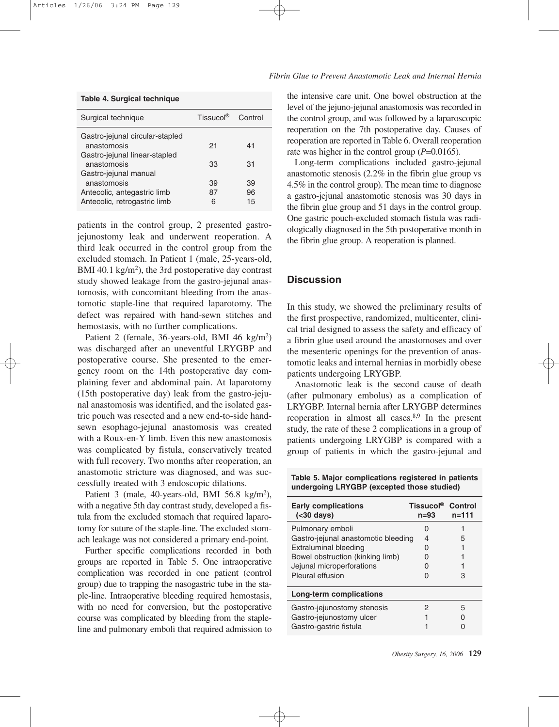| Surgical technique                                          | Tissucol <sup>®</sup> | Control  |  |
|-------------------------------------------------------------|-----------------------|----------|--|
| Gastro-jejunal circular-stapled<br>anastomosis              | 21                    | 41       |  |
| Gastro-jejunal linear-stapled<br>anastomosis                | 33                    | 31       |  |
| Gastro-jejunal manual<br>anastomosis                        | 39                    | 39       |  |
| Antecolic, antegastric limb<br>Antecolic, retrogastric limb | 87<br>6               | 96<br>15 |  |

patients in the control group, 2 presented gastrojejunostomy leak and underwent reoperation. A third leak occurred in the control group from the excluded stomach. In Patient 1 (male, 25-years-old, BMI 40.1 kg/m<sup>2</sup>), the 3rd postoperative day contrast study showed leakage from the gastro-jejunal anastomosis, with concomitant bleeding from the anastomotic staple-line that required laparotomy. The defect was repaired with hand-sewn stitches and hemostasis, with no further complications.

Patient 2 (female, 36-years-old, BMI 46 kg/m<sup>2</sup>) was discharged after an uneventful LRYGBP and postoperative course. She presented to the emergency room on the 14th postoperative day complaining fever and abdominal pain. At laparotomy (15th postoperative day) leak from the gastro-jejunal anastomosis was identified, and the isolated gastric pouch was resected and a new end-to-side handsewn esophago-jejunal anastomosis was created with a Roux-en-Y limb. Even this new anastomosis was complicated by fistula, conservatively treated with full recovery. Two months after reoperation, an anastomotic stricture was diagnosed, and was successfully treated with 3 endoscopic dilations.

Patient 3 (male, 40-years-old, BMI 56.8 kg/m<sup>2</sup>), with a negative 5th day contrast study, developed a fistula from the excluded stomach that required laparotomy for suture of the staple-line. The excluded stomach leakage was not considered a primary end-point.

Further specific complications recorded in both groups are reported in Table 5. One intraoperative complication was recorded in one patient (control group) due to trapping the nasogastric tube in the staple-line. Intraoperative bleeding required hemostasis, with no need for conversion, but the postoperative course was complicated by bleeding from the stapleline and pulmonary emboli that required admission to the intensive care unit. One bowel obstruction at the level of the jejuno-jejunal anastomosis was recorded in the control group, and was followed by a laparoscopic reoperation on the 7th postoperative day. Causes of reoperation are reported in Table 6. Overall reoperation rate was higher in the control group  $(P=0.0165)$ .

Long-term complications included gastro-jejunal anastomotic stenosis  $(2.2\%$  in the fibrin glue group vs 4.5% in the control group). The mean time to diagnose a gastro-jejunal anastomotic stenosis was 30 days in the fibrin glue group and 51 days in the control group. One gastric pouch-excluded stomach fistula was radiologically diagnosed in the 5th postoperative month in the fibrin glue group. A reoperation is planned.

## **Discussion**

In this study, we showed the preliminary results of the first prospective, randomized, multicenter, clinical trial designed to assess the safety and efficacy of a fibrin glue used around the anastomoses and over the mesenteric openings for the prevention of anastomotic leaks and internal hernias in morbidly obese patients undergoing LRYGBP.

Anastomotic leak is the second cause of death (after pulmonary embolus) as a complication of LRYGBP. Internal hernia after LRYGBP determines reoperation in almost all cases.<sup>8,9</sup> In the present study, the rate of these 2 complications in a group of patients undergoing LRYGBP is compared with a group of patients in which the gastro-jejunal and

Table 5. Major complications registered in patients undergoing LRYGBP (excepted those studied)

| <b>Early complications</b><br>( <sub>30</sub> days) | Tissucol <sup>®</sup><br>n=93 | Control<br>$n = 111$ |
|-----------------------------------------------------|-------------------------------|----------------------|
| Pulmonary emboli                                    |                               |                      |
| Gastro-jejunal anastomotic bleeding                 | 4                             | 5                    |
| <b>Extraluminal bleeding</b>                        |                               |                      |
| Bowel obstruction (kinking limb)                    |                               |                      |
| Jejunal microperforations                           |                               |                      |
| Pleural effusion                                    |                               | З                    |
| Long-term complications                             |                               |                      |
| Gastro-jejunostomy stenosis                         | 2                             | 5                    |
| Gastro-jejunostomy ulcer                            |                               |                      |
| Gastro-gastric fistula                              |                               |                      |

Obesity Surgery, 16, 2006 129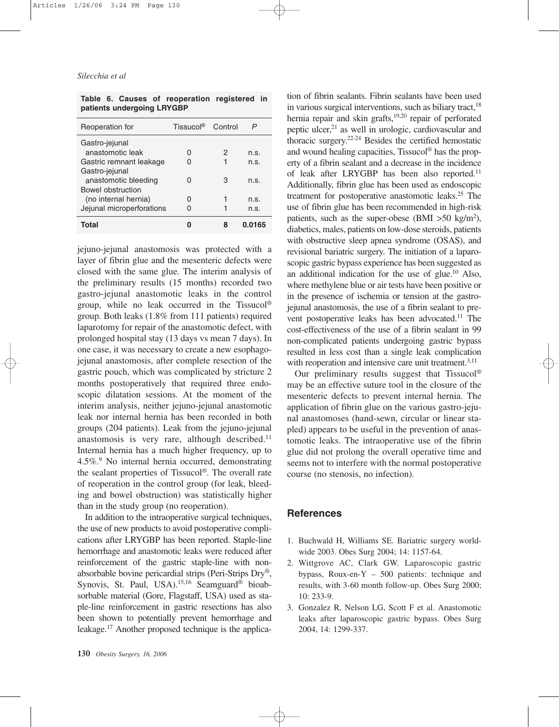#### Silecchia et al

Table 6. Causes of reoperation registered in patients undergoing LRYGBP

| Reoperation for           | Tissucol <sup>®</sup> | Control | P      |
|---------------------------|-----------------------|---------|--------|
| Gastro-jejunal            |                       |         |        |
| anastomotic leak          |                       | 2       | n.s.   |
| Gastric remnant leakage   |                       |         | n.S.   |
| Gastro-jejunal            |                       |         |        |
| anastomotic bleeding      |                       | З       | n.S.   |
| <b>Bowel obstruction</b>  |                       |         |        |
| (no internal hernia)      | 0                     |         | n.S.   |
| Jejunal microperforations |                       |         | n.S.   |
| Total                     |                       |         | 0.0165 |

jejuno-jejunal anastomosis was protected with a layer of fibrin glue and the mesenteric defects were closed with the same glue. The interim analysis of the preliminary results (15 months) recorded two gastro-jejunal anastomotic leaks in the control group, while no leak occurred in the Tissucol<sup>®</sup> group. Both leaks (1.8% from 111 patients) required laparotomy for repair of the anastomotic defect, with prolonged hospital stay (13 days vs mean 7 days). In one case, it was necessary to create a new esophagojejunal anastomosis, after complete resection of the gastric pouch, which was complicated by stricture 2 months postoperatively that required three endoscopic dilatation sessions. At the moment of the interim analysis, neither jejuno-jejunal anastomotic leak nor internal hernia has been recorded in both groups (204 patients). Leak from the jejuno-jejunal anastomosis is very rare, although described.<sup>11</sup> Internal hernia has a much higher frequency, up to 4.5%.<sup>9</sup> No internal hernia occurred, demonstrating the sealant properties of Tissucol<sup>®</sup>. The overall rate of reoperation in the control group (for leak, bleeding and bowel obstruction) was statistically higher than in the study group (no reoperation).

In addition to the intraoperative surgical techniques, the use of new products to avoid postoperative complications after LRYGBP has been reported. Staple-line hemorrhage and anastomotic leaks were reduced after reinforcement of the gastric staple-line with nonabsorbable bovine pericardial strips (Peri-Strips Dry®, Synovis, St. Paul, USA).<sup>15,16</sup> Seamguard<sup>®</sup> bioabsorbable material (Gore, Flagstaff, USA) used as staple-line reinforcement in gastric resections has also been shown to potentially prevent hemorrhage and leakage.<sup>17</sup> Another proposed technique is the application of fibrin sealants. Fibrin sealants have been used in various surgical interventions, such as biliary tract,<sup>18</sup> hernia repair and skin grafts,<sup>19,20</sup> repair of perforated peptic ulcer,<sup>21</sup> as well in urologic, cardiovascular and thoracic surgery.<sup>22-24</sup> Besides the certified hemostatic and wound healing capacities, Tissucol® has the property of a fibrin sealant and a decrease in the incidence of leak after LRYGBP has been also reported.<sup>11</sup> Additionally, fibrin glue has been used as endoscopic treatment for postoperative anastomotic leaks.<sup>25</sup> The use of fibrin glue has been recommended in high-risk patients, such as the super-obese (BMI  $>50 \text{ kg/m}^2$ ), diabetics, males, patients on low-dose steroids, patients with obstructive sleep apnea syndrome (OSAS), and revisional bariatric surgery. The initiation of a laparoscopic gastric bypass experience has been suggested as an additional indication for the use of glue. $^{10}$  Also, where methylene blue or air tests have been positive or in the presence of ischemia or tension at the gastrojejunal anastomosis, the use of a fibrin sealant to prevent postoperative leaks has been advocated.<sup>11</sup> The cost-effectiveness of the use of a fibrin sealant in 99 non-complicated patients undergoing gastric bypass resulted in less cost than a single leak complication with reoperation and intensive care unit treatment.<sup>3,11</sup>

Our preliminary results suggest that Tissucol® may be an effective suture tool in the closure of the mesenteric defects to prevent internal hernia. The application of fibrin glue on the various gastro-jejunal anastomoses (hand-sewn, circular or linear stapled) appears to be useful in the prevention of anastomotic leaks. The intraoperative use of the fibrin glue did not prolong the overall operative time and seems not to interfere with the normal postoperative course (no stenosis, no infection).

## **References**

- 1. Buchwald H, Williams SE. Bariatric surgery worldwide 2003. Obes Surg 2004; 14: 1157-64.
- 2. Wittgrove AC, Clark GW. Laparoscopic gastric bypass, Roux-en-Y  $-500$  patients: technique and results, with 3-60 month follow-up. Obes Surg 2000; 10: 233-9.
- 3. Gonzalez R, Nelson LG, Scott F et al. Anastomotic leaks after laparoscopic gastric bypass. Obes Surg 2004, 14: 1299-337.